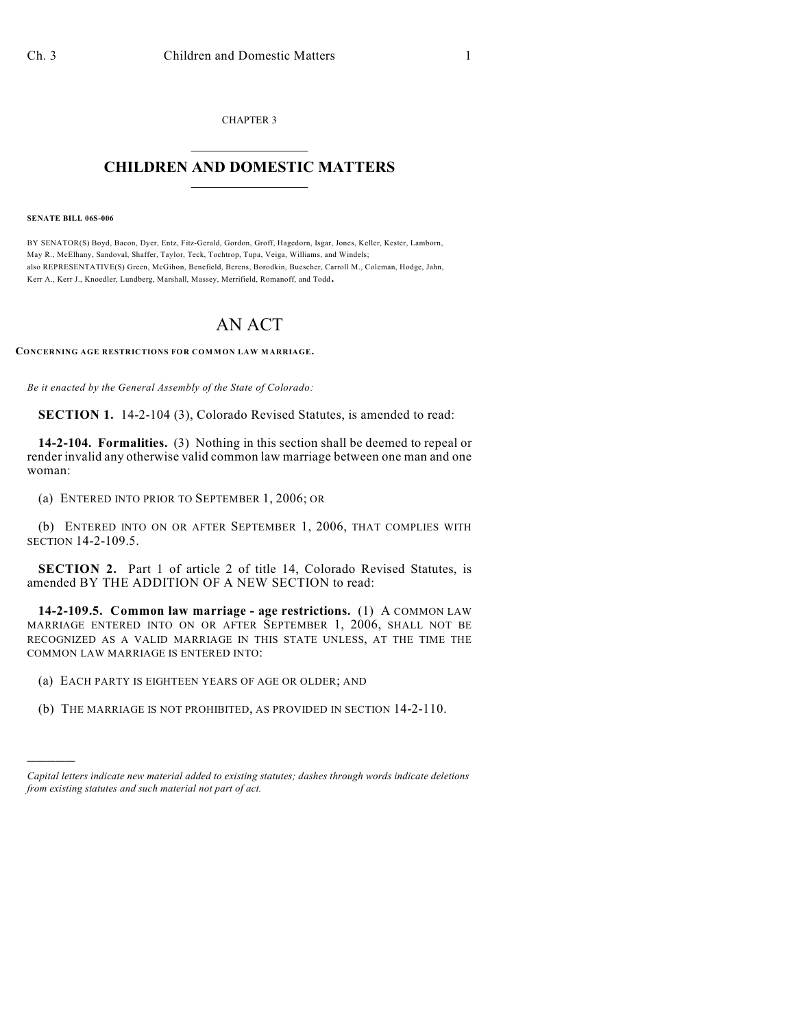CHAPTER 3  $\mathcal{L}_\text{max}$  . The set of the set of the set of the set of the set of the set of the set of the set of the set of the set of the set of the set of the set of the set of the set of the set of the set of the set of the set

## **CHILDREN AND DOMESTIC MATTERS**  $\_$

## **SENATE BILL 06S-006**

)))))

BY SENATOR(S) Boyd, Bacon, Dyer, Entz, Fitz-Gerald, Gordon, Groff, Hagedorn, Isgar, Jones, Keller, Kester, Lamborn, May R., McElhany, Sandoval, Shaffer, Taylor, Teck, Tochtrop, Tupa, Veiga, Williams, and Windels; also REPRESENTATIVE(S) Green, McGihon, Benefield, Berens, Borodkin, Buescher, Carroll M., Coleman, Hodge, Jahn, Kerr A., Kerr J., Knoedler, Lundberg, Marshall, Massey, Merrifield, Romanoff, and Todd.

## AN ACT

**CONCERNING AGE RESTRICTIONS FOR COMMON LAW MARRIAGE.**

*Be it enacted by the General Assembly of the State of Colorado:*

**SECTION 1.** 14-2-104 (3), Colorado Revised Statutes, is amended to read:

**14-2-104. Formalities.** (3) Nothing in this section shall be deemed to repeal or render invalid any otherwise valid common law marriage between one man and one woman:

(a) ENTERED INTO PRIOR TO SEPTEMBER 1, 2006; OR

(b) ENTERED INTO ON OR AFTER SEPTEMBER 1, 2006, THAT COMPLIES WITH SECTION 14-2-109.5.

**SECTION 2.** Part 1 of article 2 of title 14, Colorado Revised Statutes, is amended BY THE ADDITION OF A NEW SECTION to read:

**14-2-109.5. Common law marriage - age restrictions.** (1) A COMMON LAW MARRIAGE ENTERED INTO ON OR AFTER SEPTEMBER 1, 2006, SHALL NOT BE RECOGNIZED AS A VALID MARRIAGE IN THIS STATE UNLESS, AT THE TIME THE COMMON LAW MARRIAGE IS ENTERED INTO:

(a) EACH PARTY IS EIGHTEEN YEARS OF AGE OR OLDER; AND

(b) THE MARRIAGE IS NOT PROHIBITED, AS PROVIDED IN SECTION 14-2-110.

*Capital letters indicate new material added to existing statutes; dashes through words indicate deletions from existing statutes and such material not part of act.*